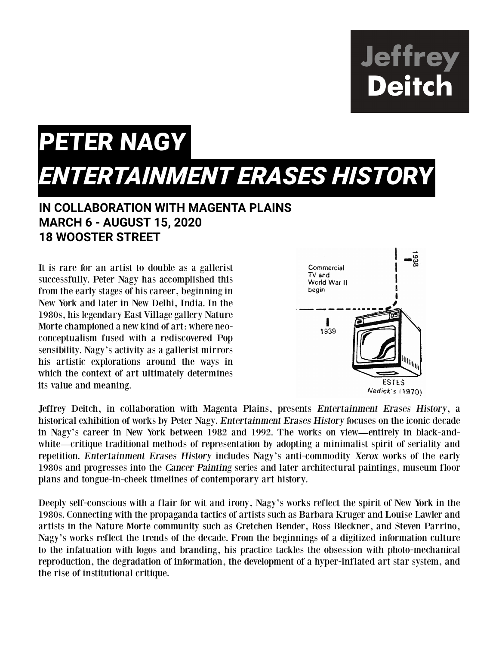**Jeffrey<br>Deitch** 

## PETER NAGY *ENTERTAINMENT ERASES HISTO*RY

## **IN COLLABORATION WITH MAGENTA PLAINS MARCH 6 - AUGUST 15, 2020 18 WOOSTER STREET**

It is rare for an artist to double as a gallerist successfully. Peter Nagy has accomplished this from the early stages of his career, beginning in New York and later in New Delhi, India. In the 1980s, his legendary East Village gallery Nature Morte championed a new kind of art: where neoconceptualism fused with a rediscovered Pop sensibility. Nagy's activity as a gallerist mirrors his artistic explorations around the ways in which the context of art ultimately determines its value and meaning.



Jeffrey Deitch, in collaboration with Magenta Plains, presents Entertainment Erases History, a historical exhibition of works by Peter Nagy. Entertainment Erases History focuses on the iconic decade in Nagy's career in New York between 1982 and 1992. The works on view—entirely in black-andwhite—critique traditional methods of representation by adopting a minimalist spirit of seriality and repetition. Entertainment Erases History includes Nagy's anti-commodity Xerox works of the early 1980s and progresses into the Cancer Painting series and later architectural paintings, museum floor plans and tongue-in-cheek timelines of contemporary art history.

Deeply self-conscious with a flair for wit and irony, Nagy's works reflect the spirit of New York in the 1980s. Connecting with the propaganda tactics of artists such as Barbara Kruger and Louise Lawler and artists in the Nature Morte community such as Gretchen Bender, Ross Bleckner, and Steven Parrino, Nagy's works reflect the trends of the decade. From the beginnings of a digitized information culture to the infatuation with logos and branding, his practice tackles the obsession with photo-mechanical reproduction, the degradation of information, the development of a hyper-inflated art star system, and the rise of institutional critique.